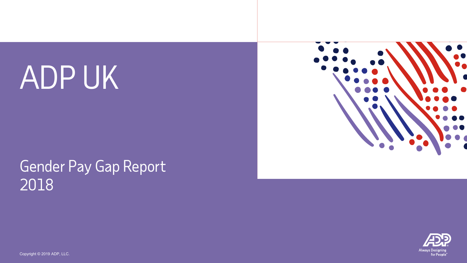# ADP UK

# Gender Pay Gap Report 2018





Copyright © 2019 ADP, LLC.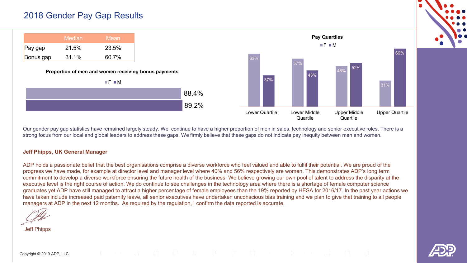# 2018 Gender Pay Gap Results

**Proportion of men and women receiving bonus payments**





Our gender pay gap statistics have remained largely steady. We continue to have a higher proportion of men in sales, technology and senior executive roles. There is a strong focus from our local and global leaders to address these gaps. We firmly believe that these gaps do not indicate pay inequity between men and women.

#### **Jeff Phipps, UK General Manager**

ADP holds a passionate belief that the best organisations comprise a diverse workforce who feel valued and able to fulfil their potential. We are proud of the progress we have made, for example at director level and manager level where 40% and 56% respectively are women. This demonstrates ADP's long term commitment to develop a diverse workforce ensuring the future health of the business. We believe growing our own pool of talent to address the disparity at the executive level is the right course of action. We do continue to see challenges in the technology area where there is a shortage of female computer science graduates yet ADP have still managed to attract a higher percentage of female employees than the 19% reported by HESA for 2016/17. In the past year actions we have taken include increased paid paternity leave, all senior executives have undertaken unconscious bias training and we plan to give that training to all people managers at ADP in the next 12 months. As required by the regulation, I confirm the data reported is accurate.

Jeff Phipps

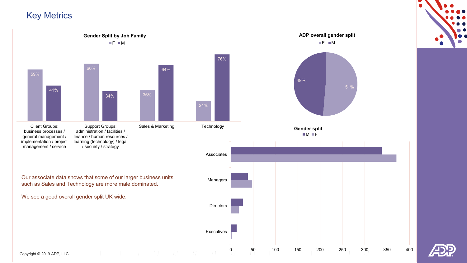## Key Metrics